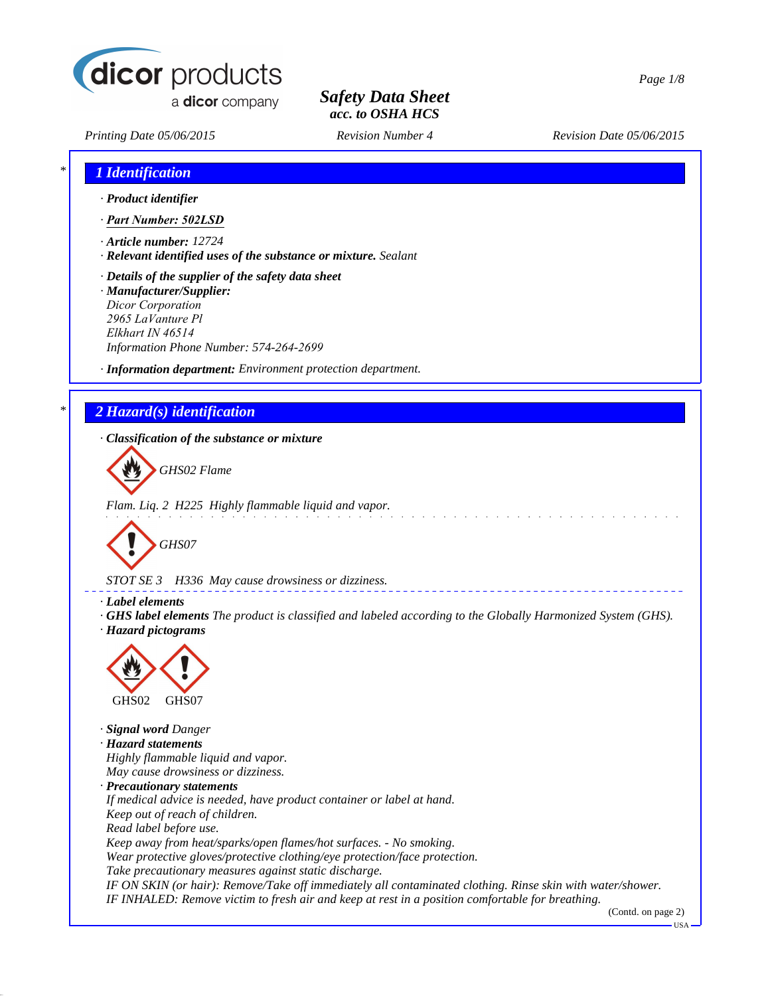

a dicor company

# *Safety Data Sheet acc. to OSHA HCS*

*Printing Date 05/06/2015 Revision Number 4 Revision Date 05/06/2015*

| 1 Identification                                                                                                                                                    |
|---------------------------------------------------------------------------------------------------------------------------------------------------------------------|
| · Product identifier                                                                                                                                                |
| · Part Number: 502LSD                                                                                                                                               |
| · Article number: 12724                                                                                                                                             |
| · Relevant identified uses of the substance or mixture. Sealant                                                                                                     |
| $\cdot$ Details of the supplier of the safety data sheet                                                                                                            |
| · Manufacturer/Supplier:                                                                                                                                            |
| Dicor Corporation<br>2965 LaVanture Pl                                                                                                                              |
| Elkhart IN 46514                                                                                                                                                    |
| Information Phone Number: 574-264-2699                                                                                                                              |
| · Information department: Environment protection department.                                                                                                        |
| 2 Hazard(s) identification                                                                                                                                          |
|                                                                                                                                                                     |
| · Classification of the substance or mixture                                                                                                                        |
|                                                                                                                                                                     |
| GHS02 Flame                                                                                                                                                         |
|                                                                                                                                                                     |
| Flam. Liq. 2 H225 Highly flammable liquid and vapor.                                                                                                                |
| GHS07                                                                                                                                                               |
| STOT SE 3 H336 May cause drowsiness or dizziness.                                                                                                                   |
| · Label elements                                                                                                                                                    |
| GHS label elements The product is classified and labeled according to the Globally Harmonized System (GHS).                                                         |
| · Hazard pictograms                                                                                                                                                 |
|                                                                                                                                                                     |
|                                                                                                                                                                     |
|                                                                                                                                                                     |
| GHS02<br>GHS07                                                                                                                                                      |
| · Signal word Danger                                                                                                                                                |
| · Hazard statements                                                                                                                                                 |
| Highly flammable liquid and vapor.                                                                                                                                  |
| May cause drowsiness or dizziness.                                                                                                                                  |
| · Precautionary statements<br>If medical advice is needed, have product container or label at hand.                                                                 |
| Keep out of reach of children.                                                                                                                                      |
| Read label before use.                                                                                                                                              |
| Keep away from heat/sparks/open flames/hot surfaces. - No smoking.                                                                                                  |
| Wear protective gloves/protective clothing/eye protection/face protection.                                                                                          |
| Take precautionary measures against static discharge.<br>IF ON SKIN (or hair): Remove/Take off immediately all contaminated clothing. Rinse skin with water/shower. |
| IF INHALED: Remove victim to fresh air and keep at rest in a position comfortable for breathing.                                                                    |
| (Contd. on page 2)                                                                                                                                                  |

USA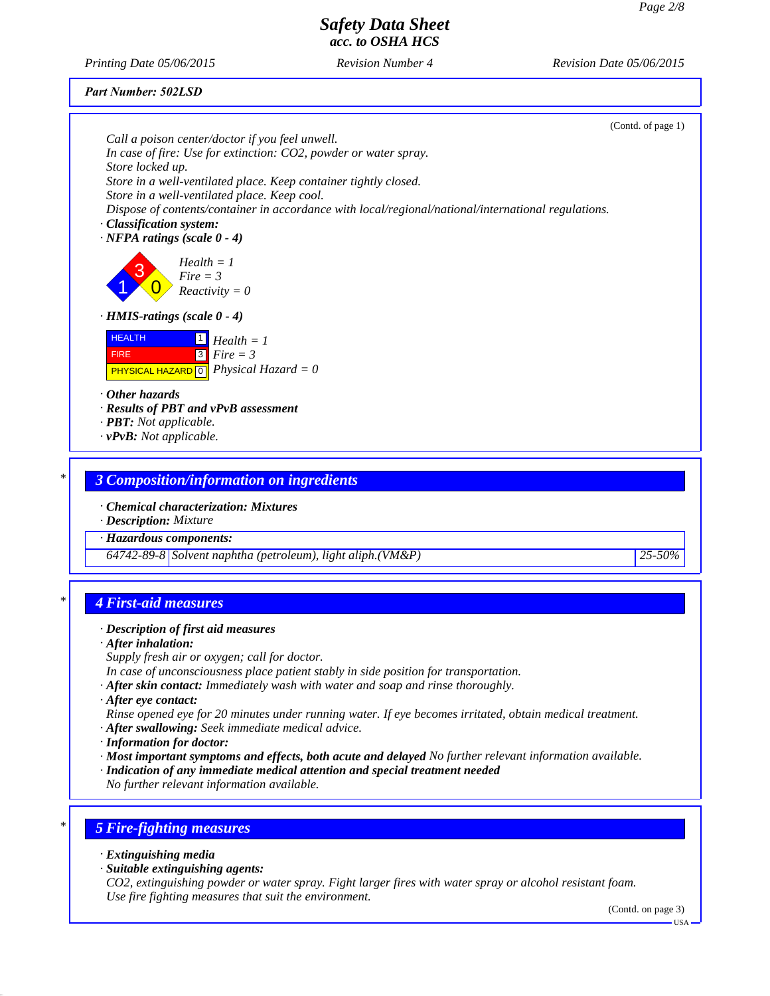*Printing Date 05/06/2015 Revision Number 4 Revision Date 05/06/2015*

|  | Part Number: 502LSD |  |
|--|---------------------|--|
|--|---------------------|--|

|   | (Contd. of page 1)                                                                                                               |
|---|----------------------------------------------------------------------------------------------------------------------------------|
|   | Call a poison center/doctor if you feel unwell.                                                                                  |
|   | In case of fire: Use for extinction: CO2, powder or water spray.<br>Store locked up.                                             |
|   | Store in a well-ventilated place. Keep container tightly closed.                                                                 |
|   | Store in a well-ventilated place. Keep cool.                                                                                     |
|   | Dispose of contents/container in accordance with local/regional/national/international regulations.                              |
|   | · Classification system:<br>$\cdot$ NFPA ratings (scale 0 - 4)                                                                   |
|   |                                                                                                                                  |
|   | $Health = 1$                                                                                                                     |
|   | $Fire = 3$<br>$Reactivity = 0$                                                                                                   |
|   |                                                                                                                                  |
|   | $\cdot$ HMIS-ratings (scale 0 - 4)                                                                                               |
|   | <b>HEALTH</b><br>$\boxed{1}$ Health = 1                                                                                          |
|   | $Fire = 3$<br> 3 <br><b>FIRE</b>                                                                                                 |
|   | Physical Hazard = $0$<br>PHYSICAL HAZARD 0                                                                                       |
|   | $\cdot$ Other hazards                                                                                                            |
|   | · Results of PBT and vPvB assessment                                                                                             |
|   | · <b>PBT</b> : Not applicable.<br>$\cdot$ vPvB: Not applicable.                                                                  |
|   |                                                                                                                                  |
|   |                                                                                                                                  |
| * | <b>3 Composition/information on ingredients</b>                                                                                  |
|   | · Chemical characterization: Mixtures                                                                                            |
|   | · Description: Mixture                                                                                                           |
|   | · Hazardous components:                                                                                                          |
|   | 64742-89-8 Solvent naphtha (petroleum), light aliph.(VM&P)<br>25-50%                                                             |
|   |                                                                                                                                  |
| * | <b>4 First-aid measures</b>                                                                                                      |
|   |                                                                                                                                  |
|   | · Description of first aid measures                                                                                              |
|   | $\cdot$ After inhalation:<br>Supply fresh air or oxygen; call for doctor.                                                        |
|   | In case of unconsciousness place patient stably in side position for transportation.                                             |
|   | · After skin contact: Immediately wash with water and soap and rinse thoroughly.                                                 |
|   | · After eye contact:<br>Rinse opened eye for 20 minutes under running water. If eye becomes irritated, obtain medical treatment. |
|   | · After swallowing: Seek immediate medical advice.                                                                               |
|   | · Information for doctor:                                                                                                        |
|   | · Most important symptoms and effects, both acute and delayed No further relevant information available.                         |
|   | · Indication of any immediate medical attention and special treatment needed<br>No further relevant information available.       |
|   |                                                                                                                                  |
|   |                                                                                                                                  |
| ∗ | <b>5 Fire-fighting measures</b>                                                                                                  |
|   | · Extinguishing media                                                                                                            |
|   | · Suitable extinguishing agents:                                                                                                 |
|   | CO2, extinguishing powder or water spray. Fight larger fires with water spray or alcohol resistant foam.                         |
|   | Use fire fighting measures that suit the environment.                                                                            |
|   |                                                                                                                                  |
|   | (Contd. on page 3)<br><b>USA</b>                                                                                                 |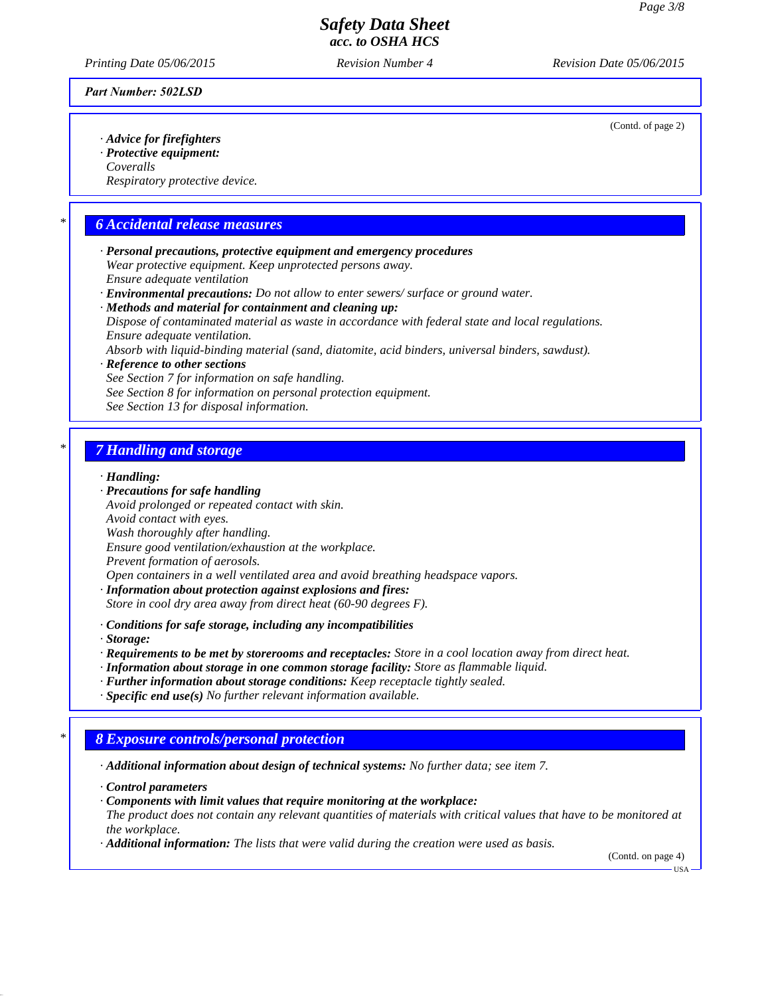*Printing Date 05/06/2015 Revision Number 4 Revision Date 05/06/2015*

*Part Number: 502LSD*

*· Advice for firefighters*

*· Protective equipment: Coveralls*

*Respiratory protective device.*

## *\* 6 Accidental release measures*

- *· Personal precautions, protective equipment and emergency procedures Wear protective equipment. Keep unprotected persons away. Ensure adequate ventilation*
- *· Environmental precautions: Do not allow to enter sewers/ surface or ground water.*
- *· Methods and material for containment and cleaning up: Dispose of contaminated material as waste in accordance with federal state and local regulations. Ensure adequate ventilation.*

*Absorb with liquid-binding material (sand, diatomite, acid binders, universal binders, sawdust).*

## *· Reference to other sections*

*See Section 7 for information on safe handling. See Section 8 for information on personal protection equipment.*

*See Section 13 for disposal information.*

## *\* 7 Handling and storage*

## *· Handling:*

## *· Precautions for safe handling*

*Avoid prolonged or repeated contact with skin.*

*Avoid contact with eyes.*

*Wash thoroughly after handling.*

*Ensure good ventilation/exhaustion at the workplace.*

*Prevent formation of aerosols.*

*Open containers in a well ventilated area and avoid breathing headspace vapors.*

*· Information about protection against explosions and fires: Store in cool dry area away from direct heat (60-90 degrees F).*

*· Conditions for safe storage, including any incompatibilities*

*· Storage:*

- *· Requirements to be met by storerooms and receptacles: Store in a cool location away from direct heat.*
- *· Information about storage in one common storage facility: Store as flammable liquid.*
- *· Further information about storage conditions: Keep receptacle tightly sealed.*
- *· Specific end use(s) No further relevant information available.*

## *\* 8 Exposure controls/personal protection*

*· Additional information about design of technical systems: No further data; see item 7.*

*· Control parameters*

*· Components with limit values that require monitoring at the workplace:*

*The product does not contain any relevant quantities of materials with critical values that have to be monitored at the workplace.*

*· Additional information: The lists that were valid during the creation were used as basis.*

(Contd. on page 4) USA

(Contd. of page 2)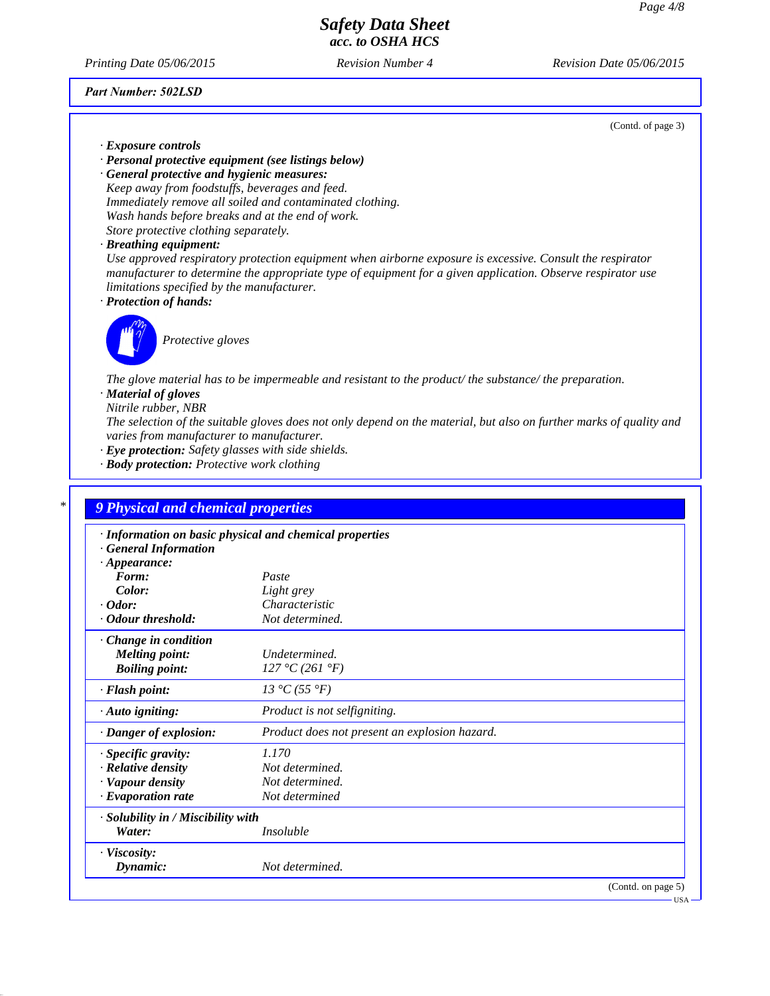*Printing Date 05/06/2015 Revision Number 4 Revision Date 05/06/2015*

## *Part Number: 502LSD*

(Contd. of page 3)

- *· Exposure controls*
- *· Personal protective equipment (see listings below)*

*· General protective and hygienic measures: Keep away from foodstuffs, beverages and feed. Immediately remove all soiled and contaminated clothing. Wash hands before breaks and at the end of work. Store protective clothing separately.*

*· Breathing equipment:*

*Use approved respiratory protection equipment when airborne exposure is excessive. Consult the respirator manufacturer to determine the appropriate type of equipment for a given application. Observe respirator use limitations specified by the manufacturer.*

*· Protection of hands:*



*Protective gloves*

*The glove material has to be impermeable and resistant to the product/ the substance/ the preparation. · Material of gloves*

*Nitrile rubber, NBR*

*The selection of the suitable gloves does not only depend on the material, but also on further marks of quality and varies from manufacturer to manufacturer.*

- *· Eye protection: Safety glasses with side shields.*
- *· Body protection: Protective work clothing*

|                                                   | · Information on basic physical and chemical properties |
|---------------------------------------------------|---------------------------------------------------------|
| <b>General Information</b><br>$\cdot$ Appearance: |                                                         |
| Form:                                             | Paste                                                   |
| Color:                                            | Light grey                                              |
| $\cdot$ Odor:                                     | Characteristic                                          |
| · Odour threshold:                                | Not determined.                                         |
| $\cdot$ Change in condition                       |                                                         |
| <b>Melting point:</b>                             | Undetermined.                                           |
| <b>Boiling point:</b>                             | 127 °C (261 °F)                                         |
| · Flash point:                                    | 13 °C (55 °F)                                           |
| · Auto igniting:                                  | Product is not selfigniting.                            |
| · Danger of explosion:                            | Product does not present an explosion hazard.           |
| $\cdot$ Specific gravity:                         | 1.170                                                   |
| · Relative density                                | Not determined.                                         |
| · Vapour density                                  | Not determined.                                         |
| $\cdot$ Evaporation rate                          | Not determined                                          |
| · Solubility in / Miscibility with                |                                                         |
| Water:                                            | <i>Insoluble</i>                                        |

(Contd. on page 5)

USA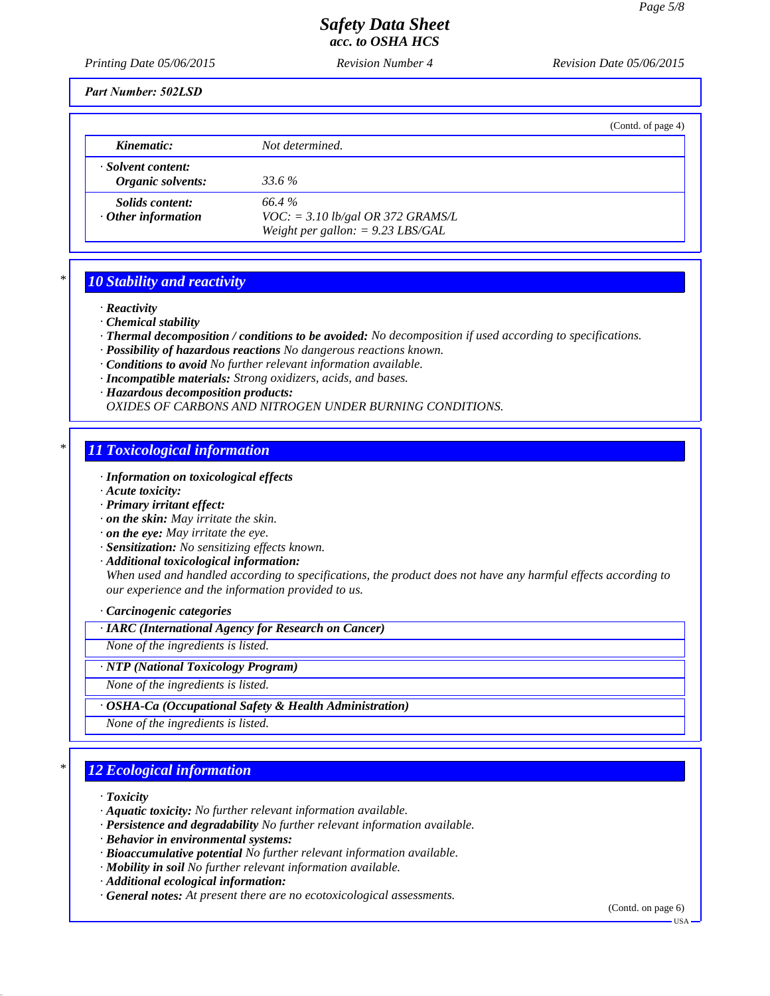*Printing Date 05/06/2015 Revision Number 4 Revision Date 05/06/2015*

*Part Number: 502LSD*

|                                                     |                                                                                      | (Contd. of page 4) |
|-----------------------------------------------------|--------------------------------------------------------------------------------------|--------------------|
| Kinematic:                                          | Not determined.                                                                      |                    |
| · Solvent content:<br>Organic solvents:             | 33.6 %                                                                               |                    |
| <i>Solids content:</i><br>$\cdot$ Other information | 66.4%<br>$VOC$ : = 3.10 lb/gal OR 372 GRAMS/L<br>Weight per gallon: $= 9.23$ LBS/GAL |                    |

## *\* 10 Stability and reactivity*

*· Reactivity*

*· Chemical stability*

- *· Thermal decomposition / conditions to be avoided: No decomposition if used according to specifications.*
- *· Possibility of hazardous reactions No dangerous reactions known.*
- *· Conditions to avoid No further relevant information available.*
- *· Incompatible materials: Strong oxidizers, acids, and bases.*

*· Hazardous decomposition products:*

*OXIDES OF CARBONS AND NITROGEN UNDER BURNING CONDITIONS.*

## *\* 11 Toxicological information*

- *· Information on toxicological effects*
- *· Acute toxicity:*
- *· Primary irritant effect:*
- *· on the skin: May irritate the skin.*
- *· on the eye: May irritate the eye.*
- *· Sensitization: No sensitizing effects known.*
- *· Additional toxicological information: When used and handled according to specifications, the product does not have any harmful effects according to our experience and the information provided to us.*

*· Carcinogenic categories*

## *· IARC (International Agency for Research on Cancer)*

*None of the ingredients is listed.*

## *· NTP (National Toxicology Program)*

*None of the ingredients is listed.*

## *· OSHA-Ca (Occupational Safety & Health Administration)*

*None of the ingredients is listed.*

## *\* 12 Ecological information*

*· Toxicity*

- *· Aquatic toxicity: No further relevant information available.*
- *· Persistence and degradability No further relevant information available.*
- *· Behavior in environmental systems:*
- *· Bioaccumulative potential No further relevant information available.*
- *· Mobility in soil No further relevant information available.*
- *· Additional ecological information:*
- *· General notes: At present there are no ecotoxicological assessments.*

(Contd. on page 6)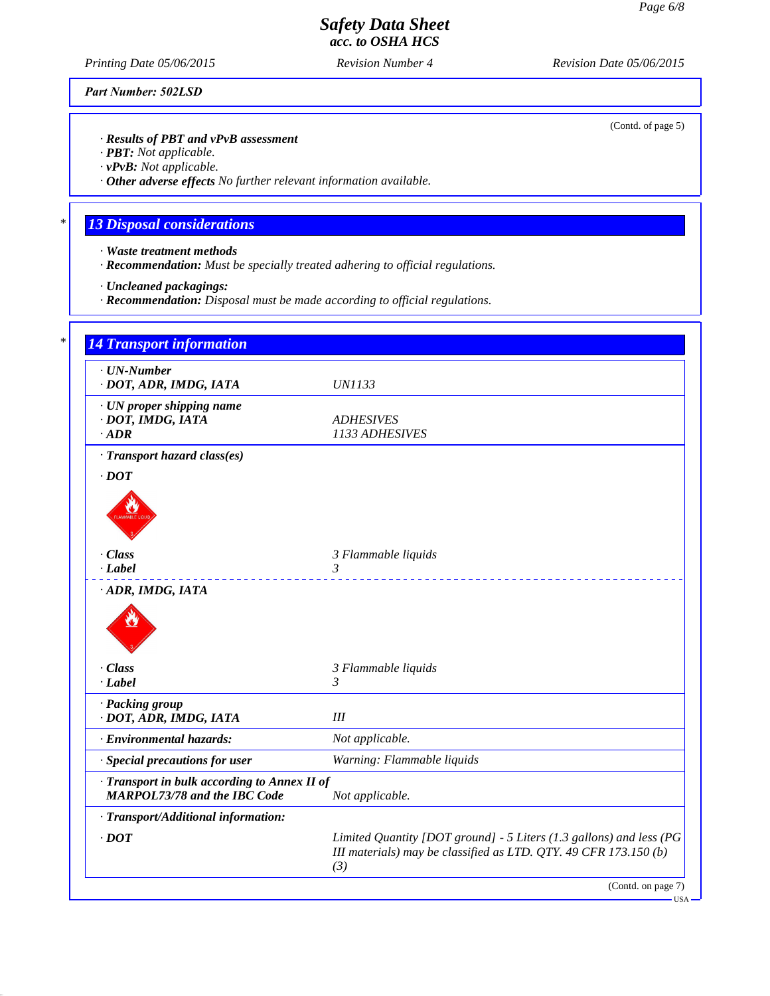*Part Number: 502LSD*

*· Results of PBT and vPvB assessment*

*· PBT: Not applicable.*

*· vPvB: Not applicable.*

*· Other adverse effects No further relevant information available.*

# *\* 13 Disposal considerations*

- *· Waste treatment methods*
- *· Recommendation: Must be specially treated adhering to official regulations.*
- *· Uncleaned packagings:*
- *· Recommendation: Disposal must be made according to official regulations.*

| $\cdot$ UN-Number<br>· DOT, ADR, IMDG, IATA                                         | <b>UN1133</b>                                                                                                                           |
|-------------------------------------------------------------------------------------|-----------------------------------------------------------------------------------------------------------------------------------------|
| · UN proper shipping name<br>· DOT, IMDG, IATA<br>$\cdot$ ADR                       | <b>ADHESIVES</b><br>1133 ADHESIVES                                                                                                      |
| · Transport hazard class(es)                                                        |                                                                                                                                         |
| $\cdot$ DOT                                                                         |                                                                                                                                         |
|                                                                                     |                                                                                                                                         |
| · Class                                                                             | 3 Flammable liquids                                                                                                                     |
| $-Label$                                                                            | 3<br>____________________                                                                                                               |
|                                                                                     |                                                                                                                                         |
| · Class                                                                             | 3 Flammable liquids                                                                                                                     |
| $\cdot$ <i>Label</i>                                                                | 3                                                                                                                                       |
| · Packing group<br>· DOT, ADR, IMDG, IATA                                           | III                                                                                                                                     |
| · Environmental hazards:                                                            | Not applicable.                                                                                                                         |
| · Special precautions for user                                                      | Warning: Flammable liquids                                                                                                              |
| · Transport in bulk according to Annex II of<br><b>MARPOL73/78 and the IBC Code</b> | Not applicable.                                                                                                                         |
| · Transport/Additional information:                                                 |                                                                                                                                         |
| $\cdot$ <i>DOT</i>                                                                  | Limited Quantity [DOT ground] - 5 Liters (1.3 gallons) and less (PG<br>III materials) may be classified as LTD. QTY. 49 CFR 173.150 (b) |

(Contd. of page 5)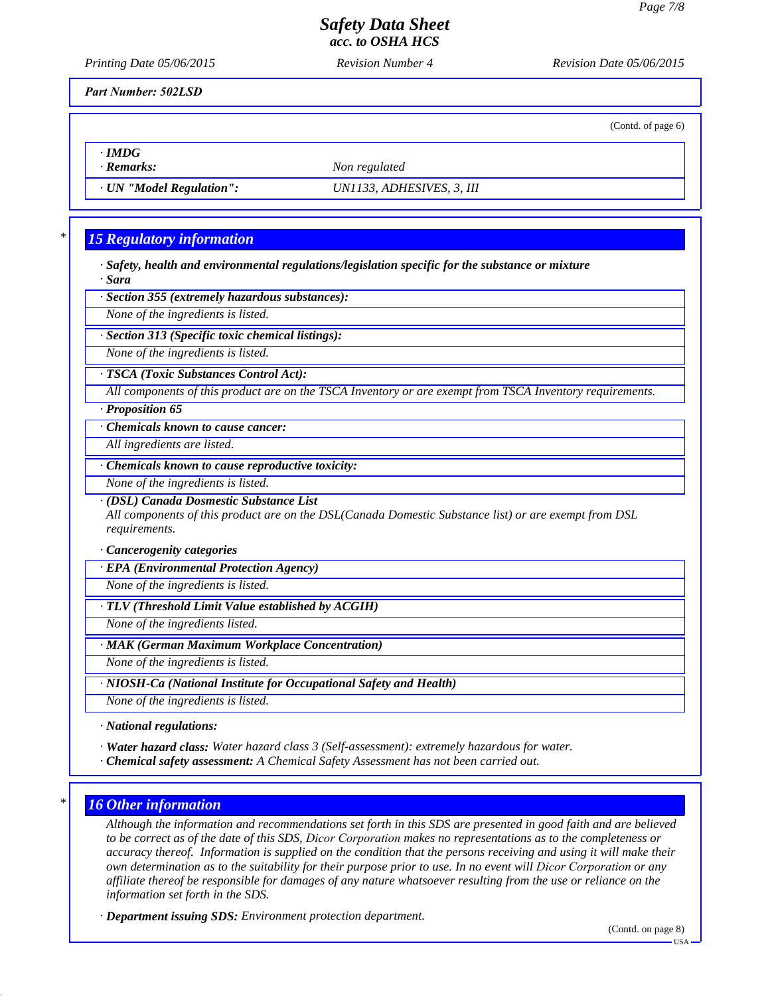*Printing Date 05/06/2015 Revision Number 4 Revision Date 05/06/2015*

*Part Number: 502LSD*

(Contd. of page 6)

*· IMDG*

*· Remarks: Non regulated*

*· UN "Model Regulation": UN1133, ADHESIVES, 3, III*

## *\* 15 Regulatory information*

*· Safety, health and environmental regulations/legislation specific for the substance or mixture · Sara*

*· Section 355 (extremely hazardous substances):*

*None of the ingredients is listed.*

*· Section 313 (Specific toxic chemical listings):*

*None of the ingredients is listed.*

*· TSCA (Toxic Substances Control Act):*

*All components of this product are on the TSCA Inventory or are exempt from TSCA Inventory requirements.*

# *· Proposition 65*

*· Chemicals known to cause cancer:*

*All ingredients are listed.*

*· Chemicals known to cause reproductive toxicity:*

*None of the ingredients is listed.*

*· (DSL) Canada Dosmestic Substance List*

*All components of this product are on the DSL(Canada Domestic Substance list) or are exempt from DSL requirements.*

## *· Cancerogenity categories*

*· EPA (Environmental Protection Agency)*

*None of the ingredients is listed.*

*· TLV (Threshold Limit Value established by ACGIH)*

*None of the ingredients listed.*

*· MAK (German Maximum Workplace Concentration)*

*None of the ingredients is listed.*

*· NIOSH-Ca (National Institute for Occupational Safety and Health)*

*None of the ingredients is listed.*

*· National regulations:*

*· Water hazard class: Water hazard class 3 (Self-assessment): extremely hazardous for water.*

*· Chemical safety assessment: A Chemical Safety Assessment has not been carried out.*

## *\* 16 Other information*

*Although the information and recommendations set forth in this SDS are presented in good faith and are believed to be correct as of the date of this SDS, Dicor Corporation makes no representations as to the completeness or accuracy thereof. Information is supplied on the condition that the persons receiving and using it will make their own determination as to the suitability for their purpose prior to use. In no event will Dicor Corporation or any affiliate thereof be responsible for damages of any nature whatsoever resulting from the use or reliance on the information set forth in the SDS.*

*· Department issuing SDS: Environment protection department.*

(Contd. on page 8)